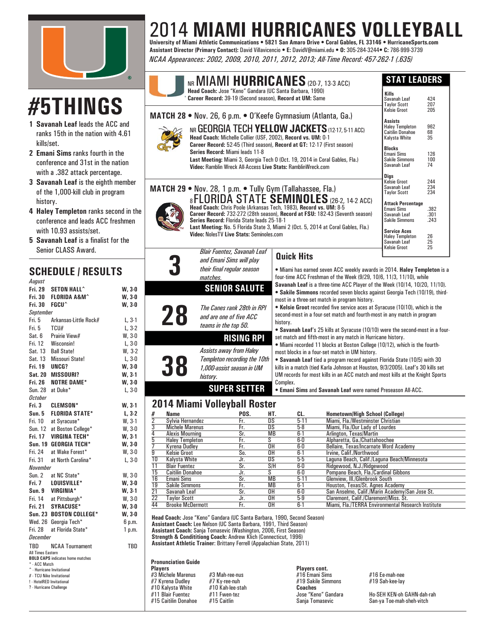

# **#5THINGS**

- **1 Savanah Leaf** leads the ACC and ranks 15th in the nation with 4.61 kills/set.
- **2 Emani Sims** ranks fourth in the conference and 31st in the nation with a .382 attack percentage.
- **3 Savanah Leaf** is the eighth member of the 1,000-kill club in program history.
- **4 Haley Templeton** ranks second in the conference and leads ACC freshmen with 10.93 assists/set.

 $L, 3-1$  $L, 3-2$  $W. 3-0$  $L, 3-0$  $W. 3-2$ 

 $W, 3-0$ **W, 3-0 W. 3-1**  $W, 3-0$ **W. 3-0 W, 3-0**  $6 p.m.$  $1$  p.m.

**5** Savanah Leaf is a finalist for the Senior CLASS Award.

## **SCHEDULE / RESULTS**

| nuyuot                                               |                                                    |          |  |  |  |  |  |  |  |  |  |  |
|------------------------------------------------------|----------------------------------------------------|----------|--|--|--|--|--|--|--|--|--|--|
| <b>Fri. 29</b>                                       | <b>SETON HALL^</b>                                 | $W, 3-0$ |  |  |  |  |  |  |  |  |  |  |
|                                                      | Fri. 30 FLORIDA A&M^                               | $W, 3-0$ |  |  |  |  |  |  |  |  |  |  |
| Fri. 30 FGCU^                                        |                                                    | $W, 3-0$ |  |  |  |  |  |  |  |  |  |  |
| September                                            |                                                    |          |  |  |  |  |  |  |  |  |  |  |
| Fri. 5                                               | Arkansas Little Rock#                              | $L, 3-1$ |  |  |  |  |  |  |  |  |  |  |
| Fri. 5 TCU#                                          |                                                    | $L, 3-2$ |  |  |  |  |  |  |  |  |  |  |
|                                                      | Sat. 6 Prairie View#                               | W, 3-0   |  |  |  |  |  |  |  |  |  |  |
|                                                      | Fri. 12 Wisconsin!                                 | $L, 3-0$ |  |  |  |  |  |  |  |  |  |  |
| Sat. 13                                              | <b>Ball State!</b>                                 | W, 3-2   |  |  |  |  |  |  |  |  |  |  |
|                                                      | Sat. 13 Missouri State!                            | $L, 3-0$ |  |  |  |  |  |  |  |  |  |  |
| Fri. 19 UNCG?                                        |                                                    | $W, 3-0$ |  |  |  |  |  |  |  |  |  |  |
|                                                      | Sat. 20 MISSOURI?                                  | W, 3-1   |  |  |  |  |  |  |  |  |  |  |
|                                                      | Fri. 26 NOTRE DAME*                                | W, 3-0   |  |  |  |  |  |  |  |  |  |  |
|                                                      | Sun. 28 at Duke*                                   | $L, 3-0$ |  |  |  |  |  |  |  |  |  |  |
| October                                              |                                                    |          |  |  |  |  |  |  |  |  |  |  |
|                                                      | Fri. 3 CLEMSON*                                    | $W, 3-1$ |  |  |  |  |  |  |  |  |  |  |
|                                                      | Sun. 5 FLORIDA STATE*                              | $L, 3-2$ |  |  |  |  |  |  |  |  |  |  |
|                                                      | Fri. 10 at Syracuse*<br>Sun. 12 at Boston College* | W, 3-1   |  |  |  |  |  |  |  |  |  |  |
|                                                      |                                                    | $W, 3-0$ |  |  |  |  |  |  |  |  |  |  |
| Fri. 17                                              | <b>VIRGINA TECH*</b>                               | $W, 3-1$ |  |  |  |  |  |  |  |  |  |  |
|                                                      | Sun. 19 GEORGIA TECH*                              | $W, 3-0$ |  |  |  |  |  |  |  |  |  |  |
| Fri. 24                                              | at Wake Forest*                                    | W, 3-0   |  |  |  |  |  |  |  |  |  |  |
| Fri. 31                                              | at North Carolina*                                 | $L, 3-0$ |  |  |  |  |  |  |  |  |  |  |
| November                                             |                                                    |          |  |  |  |  |  |  |  |  |  |  |
|                                                      | Sun. 2 at NC State*                                | $W, 3-0$ |  |  |  |  |  |  |  |  |  |  |
|                                                      | Fri. 7 LOUISVILLE*                                 | $W, 3-0$ |  |  |  |  |  |  |  |  |  |  |
|                                                      | Sun. 9 VIRGINIA*<br>Fri. 14 at Pittsburgh*         | W, 3-1   |  |  |  |  |  |  |  |  |  |  |
|                                                      |                                                    | $W, 3-0$ |  |  |  |  |  |  |  |  |  |  |
|                                                      | Fri. 21 SYRACUSE*                                  | $W, 3-0$ |  |  |  |  |  |  |  |  |  |  |
|                                                      | Sun. 23 BOSTON COLLEGE*                            | $W, 3-0$ |  |  |  |  |  |  |  |  |  |  |
|                                                      | Wed. 26 Georgia Tech*                              | 6 p.m.   |  |  |  |  |  |  |  |  |  |  |
|                                                      | Fri. 28 at Florida State*                          | 1 p.m.   |  |  |  |  |  |  |  |  |  |  |
| December                                             |                                                    |          |  |  |  |  |  |  |  |  |  |  |
| TBD                                                  | <b>NCAA Tournament</b>                             | TBD      |  |  |  |  |  |  |  |  |  |  |
| All Times Eastern                                    |                                                    |          |  |  |  |  |  |  |  |  |  |  |
| * - ACC Match                                        | <b>BOLD CAPS</b> indicates home matches            |          |  |  |  |  |  |  |  |  |  |  |
|                                                      | ^ - Hurricane Invitational                         |          |  |  |  |  |  |  |  |  |  |  |
| # - TCU Nike Invitational                            |                                                    |          |  |  |  |  |  |  |  |  |  |  |
| ! - HotelRED Invitational<br>? - Hurricane Challenge |                                                    |          |  |  |  |  |  |  |  |  |  |  |
|                                                      |                                                    |          |  |  |  |  |  |  |  |  |  |  |
|                                                      |                                                    |          |  |  |  |  |  |  |  |  |  |  |
|                                                      |                                                    |          |  |  |  |  |  |  |  |  |  |  |

## 2014 **MIAMI HURRICANES VOLLEYBALL University of Miami Athletic Communications • 5821 San Amaro Drive • Coral Gables, FL 33146 • HurricaneSports.com**

**Assistant Director (Primary Contact):** David Villavicencio **• E:** DavidV@miami.edu **• O:** 305-284-3244**• C:** 786-999-3739 *NCAA Appearances: 2002, 2009, 2010, 2011, 2012, 2013; All-Time Record: 457-262-1 (.635)*



most in a three-set match in program history.

most blocks in a four-set match in UM history.

set match and fifth-most in any match in Hurricane history.

history.

Complex.

• Kelsie Groot recorded five service aces at Syracuse (10/10), which is the second-most in a four-set match and fourth-most in any match in program

• **Savanah Leaf**'s 25 kills at Syracuse (10/10) were the second-most in a four-

• Miami recorded 11 blocks at Boston College (10/12), which is the fourth-

• **Savanah Leaf** tied a program record against Florida State (10/5) with 30 kills in a match (tied Karla Johnson at Houston, 9/3/2005). Leaf's 30 kills set UM records for most kills in an ACC match and most kills at the Knight Sports

• **Emani Sims** and **Savanah Leaf** were named Preseason All-ACC.

## **2014 Miami Volleyball Roster**

*history.*

**RISING RPI**

**SUPER SETTER**

**28** *The Canes rank 28th in RPI and are one of fi ve ACC teams in the top 50.*

*Assists away from Haley Templeton recording the 10th 1,000-assist season in UM* 

| w ,             |                         |      |           |          |                                                    |  |  |  |  |  |  |  |
|-----------------|-------------------------|------|-----------|----------|----------------------------------------------------|--|--|--|--|--|--|--|
| #               | Name                    | POS. | HT.       | CL.      | Hometown/High School (College)                     |  |  |  |  |  |  |  |
| $\overline{2}$  | Sylvia Hernandez        | Fr.  | DS        | $5-11$   | Miami, Fla./Westminster Christian                  |  |  |  |  |  |  |  |
| 3               | <b>Michele Marenus</b>  | Fr.  | DS        | $5-8$    | Miami, Fla./Our Lady of Lourdes                    |  |  |  |  |  |  |  |
| 4               | <b>Alexis Mourning</b>  | Sr.  | MB        | $6 - 1$  | Arlington, Texas/Martin                            |  |  |  |  |  |  |  |
| 5               | <b>Halev Templeton</b>  | Fr.  | S         | 6-0      | Alpharetta, Ga./Chattahoochee                      |  |  |  |  |  |  |  |
|                 | Kvrena Dudlev           | Fr.  | 0H        | 6-0      | Bellaire, Texas/Incarnate Word Academy             |  |  |  |  |  |  |  |
| 9               | Kelsie Groot            | So.  | 0H        | $6 - 1$  | Irvine, Calif./Northwood                           |  |  |  |  |  |  |  |
| $\overline{10}$ | Kalvsta White           | Jr.  | DS        | 5-5      | Laguna Beach, Calif./Laguna Beach/Minnesota        |  |  |  |  |  |  |  |
| 11              | <b>Blair Fuentez</b>    | Sr.  | S/H       | 6-0      | Ridgewood, N.J./Ridgewood                          |  |  |  |  |  |  |  |
| $1\overline{5}$ | <b>Caitilin Donahoe</b> | Jr.  | S         | 6-0      | Pompano Beach, Fla./Cardinal Gibbons               |  |  |  |  |  |  |  |
| 16              | Emani Sims              | Sr.  | <b>MB</b> | $5 - 11$ | Glenview, III./Glenbrook South                     |  |  |  |  |  |  |  |
| 19              | <b>Sakile Simmons</b>   | Fr.  | MB        | $6 - 1$  | Houston, Texas/St. Agnes Academy                   |  |  |  |  |  |  |  |
| $\overline{21}$ | Savanah Leaf            | Sr.  | 0H        | 6-0      | San Anselmo, Calif./Marin Academy/San Jose St.     |  |  |  |  |  |  |  |
| $\overline{22}$ | <b>Tavlor Scott</b>     | Jr.  | 0H        | $5-9$    | Claremont, Calif./Claremont/Miss. St.              |  |  |  |  |  |  |  |
| 44              | <b>Brooke McDermott</b> | Fr.  | 0H        | $6-1$    | Miami, Fla./TERRA Environmental Research Institute |  |  |  |  |  |  |  |
|                 |                         |      |           |          |                                                    |  |  |  |  |  |  |  |

**MORRIS, 2012 ERICKSON, 1990 DORSEY, 2002 KOSAR, 1984 Assistant Athletic Trainer**: Brittany Ferrell (Appalachian State, 2011) **Head Coach:** Jose "Keno" Gandara (UC Santa Barbara, 1990, Second Season) **Assistant Coach:** Lee Nelson (UC Santa Barbara, 1991, Third Season) **Assistant Coach:** Sanja Tomasevic (Washington, 2006, First Season) **Strength & Condititiong Coach:** Andrew Klich (Connecticut, 1996)

#### **Pronunciation Guide**

**38**

**Players Players cont.** #3 Michele Marenus #3 Mah-ree-nus #16 Emani Sims #16 Ee-mah-nee #10 Kalysta White #10 Kah-lee-stah **Coaches** #11 Blair Fuentez #11 Fwen-tez Jose "Keno" Gandara Ho-SEH KEN-oh GAHN-dah-rah

#19 Sakile Simmons

San-ya Toe-mah-sheh-vitch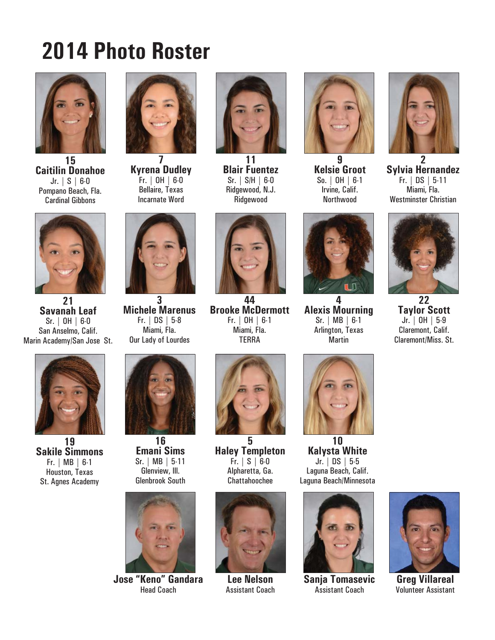# **2014 Photo Roster**



**15 Caitilin Donahoe** Jr. | S | 6-0 Pompano Beach, Fla. Cardinal Gibbons



**Kyrena Dudley** Fr. | OH | 6-0 Bellaire, Texas Incarnate Word



**11 Blair Fuentez** Sr. | S/H | 6-0 Ridgewood, N.J. Ridgewood



**9 Kelsie Groot** So. | OH | 6-1 Irvine, Calif. Northwood



**2 Sylvia Hernandez** Fr. | DS | 5-11 Miami, Fla. Westminster Christian



**21 Savanah Leaf** Sr. | OH | 6-0 San Anselmo, Calif. Marin Academy/San Jose St.



**19 Sakile Simmons** Fr. | MB | 6-1 Houston, Texas St. Agnes Academy



**3 Michele Marenus** Fr. | DS | 5-8 Miami, Fla. Our Lady of Lourdes



**16 Emani Sims** Sr. | MB | 5-11 Glenview, Ill. Glenbrook South



**Jose "Keno" Gandara** Head Coach



**44 Brooke McDermott** Fr. | OH | 6-1 Miami, Fla. **TFRRA** 



**5 Haley Templeton** Fr. | S | 6-0 Alpharetta, Ga. Chattahoochee



**Lee Nelson** Assistant Coach



**4 Alexis Mourning** Sr. | MB | 6-1 Arlington, Texas Martin



**10 Kalysta White** Jr. | DS | 5-5 Laguna Beach, Calif. Laguna Beach/Minnesota



**Sanja Tomasevic** Assistant Coach



**22 Taylor Scott** Jr. | OH | 5-9 Claremont, Calif. Claremont/Miss. St.



**Greg Villareal** Volunteer Assistant